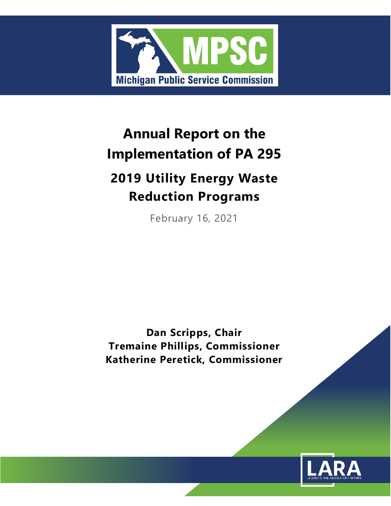

# **Annual Report on the Implementation of PA 295**

# **2019 Utility Energy Waste Reduction Programs**

February 16, 2021

**Dan Scripps, Chair Tremaine Phillips, Commissioner Katherine Peretick, Commissioner**

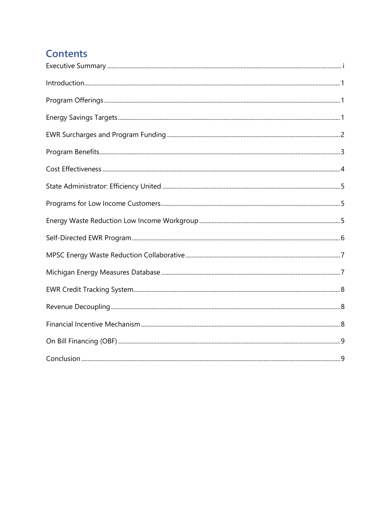## **Contents**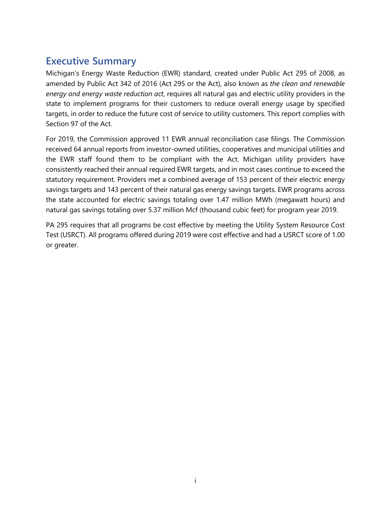## <span id="page-3-0"></span>**Executive Summary**

Michigan's Energy Waste Reduction (EWR) standard, created under Public Act 295 of 2008, as amended by Public Act 342 of 2016 (Act 295 or the Act), also known as *the clean and renewable energy and energy waste reduction act*, requires all natural gas and electric utility providers in the state to implement programs for their customers to reduce overall energy usage by specified targets, in order to reduce the future cost of service to utility customers. This report complies with Section 97 of the Act.

For 2019, the Commission approved 11 EWR annual reconciliation case filings. The Commission received 64 annual reports from investor-owned utilities, cooperatives and municipal utilities and the EWR staff found them to be compliant with the Act. Michigan utility providers have consistently reached their annual required EWR targets, and in most cases continue to exceed the statutory requirement. Providers met a combined average of 153 percent of their electric energy savings targets and 143 percent of their natural gas energy savings targets. EWR programs across the state accounted for electric savings totaling over 1.47 million MWh (megawatt hours) and natural gas savings totaling over 5.37 million Mcf (thousand cubic feet) for program year 2019.

PA 295 requires that all programs be cost effective by meeting the Utility System Resource Cost Test (USRCT). All programs offered during 2019 were cost effective and had a USRCT score of 1.00 or greater.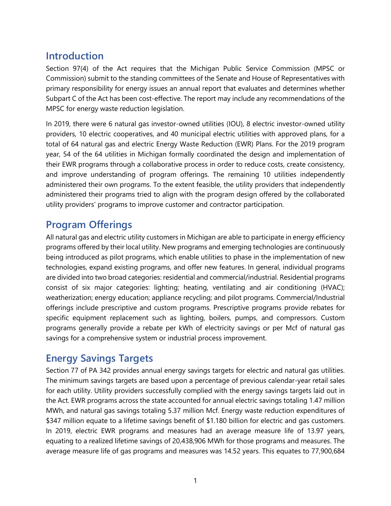## <span id="page-4-0"></span>**Introduction**

Section 97(4) of the Act requires that the Michigan Public Service Commission (MPSC or Commission) submit to the standing committees of the Senate and House of Representatives with primary responsibility for energy issues an annual report that evaluates and determines whether Subpart C of the Act has been cost-effective. The report may include any recommendations of the MPSC for energy waste reduction legislation.

In 2019, there were 6 natural gas investor-owned utilities (IOU), 8 electric investor-owned utility providers, 10 electric cooperatives, and 40 municipal electric utilities with approved plans, for a total of 64 natural gas and electric Energy Waste Reduction (EWR) Plans. For the 2019 program year, 54 of the 64 utilities in Michigan formally coordinated the design and implementation of their EWR programs through a collaborative process in order to reduce costs, create consistency, and improve understanding of program offerings. The remaining 10 utilities independently administered their own programs. To the extent feasible, the utility providers that independently administered their programs tried to align with the program design offered by the collaborated utility providers' programs to improve customer and contractor participation.

### <span id="page-4-1"></span>**Program Offerings**

All natural gas and electric utility customers in Michigan are able to participate in energy efficiency programs offered by their local utility. New programs and emerging technologies are continuously being introduced as pilot programs, which enable utilities to phase in the implementation of new technologies, expand existing programs, and offer new features. In general, individual programs are divided into two broad categories: residential and commercial/industrial. Residential programs consist of six major categories: lighting; heating, ventilating and air conditioning (HVAC); weatherization; energy education; appliance recycling; and pilot programs. Commercial/Industrial offerings include prescriptive and custom programs. Prescriptive programs provide rebates for specific equipment replacement such as lighting, boilers, pumps, and compressors. Custom programs generally provide a rebate per kWh of electricity savings or per Mcf of natural gas savings for a comprehensive system or industrial process improvement.

## <span id="page-4-2"></span>**Energy Savings Targets**

Section 77 of PA 342 provides annual energy savings targets for electric and natural gas utilities. The minimum savings targets are based upon a percentage of previous calendar-year retail sales for each utility. Utility providers successfully complied with the energy savings targets laid out in the Act. EWR programs across the state accounted for annual electric savings totaling 1.47 million MWh, and natural gas savings totaling 5.37 million Mcf. Energy waste reduction expenditures of \$347 million equate to a lifetime savings benefit of \$1.180 billion for electric and gas customers. In 2019, electric EWR programs and measures had an average measure life of 13.97 years, equating to a realized lifetime savings of 20,438,906 MWh for those programs and measures. The average measure life of gas programs and measures was 14.52 years. This equates to 77,900,684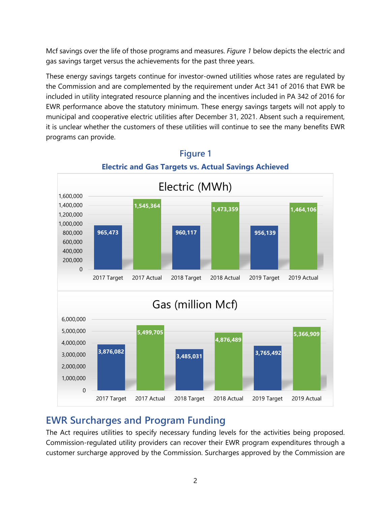Mcf savings over the life of those programs and measures. *Figure 1* below depicts the electric and gas savings target versus the achievements for the past three years.

These energy savings targets continue for investor-owned utilities whose rates are regulated by the Commission and are complemented by the requirement under Act 341 of 2016 that EWR be included in utility integrated resource planning and the incentives included in PA 342 of 2016 for EWR performance above the statutory minimum. These energy savings targets will not apply to municipal and cooperative electric utilities after December 31, 2021. Absent such a requirement, it is unclear whether the customers of these utilities will continue to see the many benefits EWR programs can provide.



## **Figure 1 Electric and Gas Targets vs. Actual Savings Achieved**

## <span id="page-5-0"></span>**EWR Surcharges and Program Funding**

The Act requires utilities to specify necessary funding levels for the activities being proposed. Commission-regulated utility providers can recover their EWR program expenditures through a customer surcharge approved by the Commission. Surcharges approved by the Commission are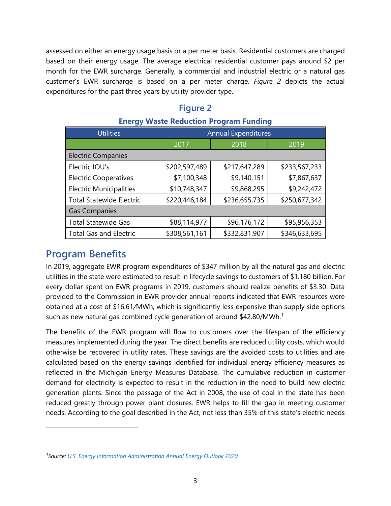assessed on either an energy usage basis or a per meter basis. Residential customers are charged based on their energy usage. The average electrical residential customer pays around \$2 per month for the EWR surcharge. Generally, a commercial and industrial electric or a natural gas customer's EWR surcharge is based on a per meter charge. *Figure 2* depicts the actual expenditures for the past three years by utility provider type.

#### **Figure 2**

| --                              |                            |               |               |
|---------------------------------|----------------------------|---------------|---------------|
| <b>Utilities</b>                | <b>Annual Expenditures</b> |               |               |
|                                 | 2017                       | 2018          | 2019          |
| <b>Electric Companies</b>       |                            |               |               |
| Electric IOU's                  | \$202,597,489              | \$217,647,289 | \$233,567,233 |
| <b>Electric Cooperatives</b>    | \$7,100,348                | \$9,140,151   | \$7,867,637   |
| <b>Electric Municipalities</b>  | \$10,748,347               | \$9,868,295   | \$9,242,472   |
| <b>Total Statewide Electric</b> | \$220,446,184              | \$236,655,735 | \$250,677,342 |
| <b>Gas Companies</b>            |                            |               |               |
| <b>Total Statewide Gas</b>      | \$88,114,977               | \$96,176,172  | \$95,956,353  |
| <b>Total Gas and Electric</b>   | \$308,561,161              | \$332,831,907 | \$346,633,695 |

#### **Energy Waste Reduction Program Funding**

#### <span id="page-6-0"></span>**Program Benefits**

In 2019, aggregate EWR program expenditures of \$347 million by all the natural gas and electric utilities in the state were estimated to result in lifecycle savings to customers of \$1.180 billion. For every dollar spent on EWR programs in 2019, customers should realize benefits of \$3.30. Data provided to the Commission in EWR provider annual reports indicated that EWR resources were obtained at a cost of \$16.61*/*MWh, which is significantly less expensive than supply side options such as new natural gas combined cycle generation of around  $$42.80/MWh.<sup>1</sup>$  $$42.80/MWh.<sup>1</sup>$  $$42.80/MWh.<sup>1</sup>$ 

The benefits of the EWR program will flow to customers over the lifespan of the efficiency measures implemented during the year. The direct benefits are reduced utility costs, which would otherwise be recovered in utility rates. These savings are the avoided costs to utilities and are calculated based on the energy savings identified for individual energy efficiency measures as reflected in the Michigan Energy Measures Database. The cumulative reduction in customer demand for electricity is expected to result in the reduction in the need to build new electric generation plants. Since the passage of the Act in 2008, the use of coal in the state has been reduced greatly through power plant closures. EWR helps to fill the gap in meeting customer needs. According to the goal described in the Act, not less than 35% of this state's electric needs

<span id="page-6-1"></span>*<sup>1</sup>Source: [U.S. Energy Information Administration Annual Energy Outlook 2020](http://www.eia.gov/forecasts/aeo/pdf/electricity_generation.pdf)*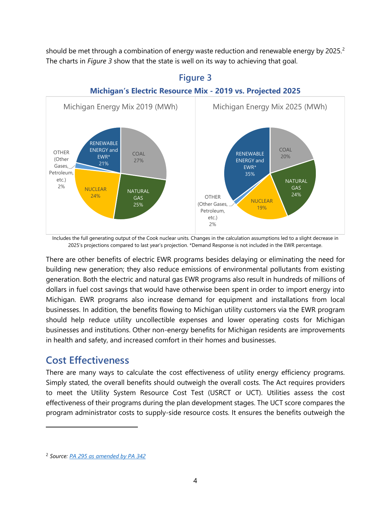should be met through a combination of energy waste reduction and renewable energy by [2](#page-7-1)025.<sup>2</sup> The charts in *Figure 3* show that the state is well on its way to achieving that goal.



#### **Figure 3 Michigan's Electric Resource Mix - 2019 vs. Projected 2025**

Includes the full generating output of the Cook nuclear units. Changes in the calculation assumptions led to a slight decrease in 2025's projections compared to last year's projection. \*Demand Response is not included in the EWR percentage.

There are other benefits of electric EWR programs besides delaying or eliminating the need for building new generation; they also reduce emissions of environmental pollutants from existing generation. Both the electric and natural gas EWR programs also result in hundreds of millions of dollars in fuel cost savings that would have otherwise been spent in order to import energy into Michigan. EWR programs also increase demand for equipment and installations from local businesses. In addition, the benefits flowing to Michigan utility customers via the EWR program should help reduce utility uncollectible expenses and lower operating costs for Michigan businesses and institutions. Other non-energy benefits for Michigan residents are improvements in health and safety, and increased comfort in their homes and businesses.

#### <span id="page-7-0"></span>**Cost Effectiveness**

There are many ways to calculate the cost effectiveness of utility energy efficiency programs. Simply stated, the overall benefits should outweigh the overall costs. The Act requires providers to meet the Utility System Resource Cost Test (USRCT or UCT). Utilities assess the cost effectiveness of their programs during the plan development stages. The UCT score compares the program administrator costs to supply-side resource costs. It ensures the benefits outweigh the

<span id="page-7-1"></span><sup>2</sup> *Source: [PA 295 as amended by PA 342](http://www.legislature.mi.gov/documents/2015-2016/publicact/pdf/2016-PA-0342.pdf)*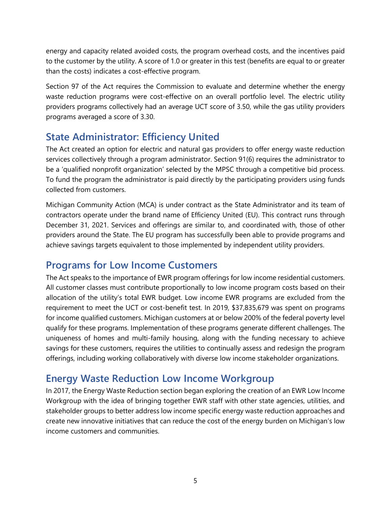energy and capacity related avoided costs, the program overhead costs, and the incentives paid to the customer by the utility. A score of 1.0 or greater in this test (benefits are equal to or greater than the costs) indicates a cost-effective program.

Section 97 of the Act requires the Commission to evaluate and determine whether the energy waste reduction programs were cost-effective on an overall portfolio level. The electric utility providers programs collectively had an average UCT score of 3.50, while the gas utility providers programs averaged a score of 3.30.

### <span id="page-8-0"></span>**State Administrator: Efficiency United**

The Act created an option for electric and natural gas providers to offer energy waste reduction services collectively through a program administrator. Section 91(6) requires the administrator to be a 'qualified nonprofit organization' selected by the MPSC through a competitive bid process. To fund the program the administrator is paid directly by the participating providers using funds collected from customers.

Michigan Community Action (MCA) is under contract as the State Administrator and its team of contractors operate under the brand name of Efficiency United (EU). This contract runs through December 31, 2021. Services and offerings are similar to, and coordinated with, those of other providers around the State. The EU program has successfully been able to provide programs and achieve savings targets equivalent to those implemented by independent utility providers.

## <span id="page-8-1"></span>**Programs for Low Income Customers**

The Act speaks to the importance of EWR program offerings for low income residential customers. All customer classes must contribute proportionally to low income program costs based on their allocation of the utility's total EWR budget. Low income EWR programs are excluded from the requirement to meet the UCT or cost-benefit test. In 2019, \$37,835,679 was spent on programs for income qualified customers. Michigan customers at or below 200% of the federal poverty level qualify for these programs. Implementation of these programs generate different challenges. The uniqueness of homes and multi-family housing, along with the funding necessary to achieve savings for these customers, requires the utilities to continually assess and redesign the program offerings, including working collaboratively with diverse low income stakeholder organizations.

#### <span id="page-8-2"></span>**Energy Waste Reduction Low Income Workgroup**

In 2017, the Energy Waste Reduction section began exploring the creation of an EWR Low Income Workgroup with the idea of bringing together EWR staff with other state agencies, utilities, and stakeholder groups to better address low income specific energy waste reduction approaches and create new innovative initiatives that can reduce the cost of the energy burden on Michigan's low income customers and communities.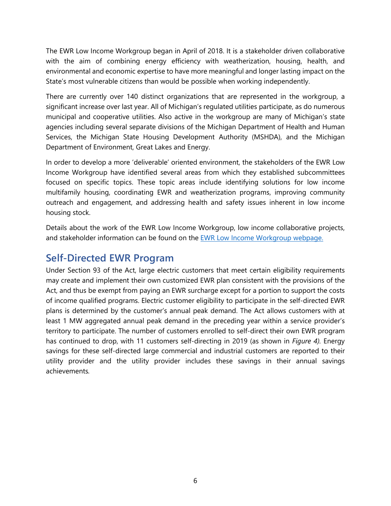The EWR Low Income Workgroup began in April of 2018. It is a stakeholder driven collaborative with the aim of combining energy efficiency with weatherization, housing, health, and environmental and economic expertise to have more meaningful and longer lasting impact on the State's most vulnerable citizens than would be possible when working independently.

There are currently over 140 distinct organizations that are represented in the workgroup, a significant increase over last year. All of Michigan's regulated utilities participate, as do numerous municipal and cooperative utilities. Also active in the workgroup are many of Michigan's state agencies including several separate divisions of the Michigan Department of Health and Human Services, the Michigan State Housing Development Authority (MSHDA), and the Michigan Department of Environment, Great Lakes and Energy.

In order to develop a more 'deliverable' oriented environment, the stakeholders of the EWR Low Income Workgroup have identified several areas from which they established subcommittees focused on specific topics. These topic areas include identifying solutions for low income multifamily housing, coordinating EWR and weatherization programs, improving community outreach and engagement, and addressing health and safety issues inherent in low income housing stock.

Details about the work of the EWR Low Income Workgroup, low income collaborative projects, and stakeholder information can be found on the [EWR Low Income Workgroup webpage.](https://www.michigan.gov/mpsc/0,9535,7-395-93307_93312_93320_94834-484084--,00.html)

#### <span id="page-9-0"></span>**Self-Directed EWR Program**

Under Section 93 of the Act, large electric customers that meet certain eligibility requirements may create and implement their own customized EWR plan consistent with the provisions of the Act, and thus be exempt from paying an EWR surcharge except for a portion to support the costs of income qualified programs. Electric customer eligibility to participate in the self-directed EWR plans is determined by the customer's annual peak demand. The Act allows customers with at least 1 MW aggregated annual peak demand in the preceding year within a service provider's territory to participate. The number of customers enrolled to self-direct their own EWR program has continued to drop, with 11 customers self-directing in 2019 (as shown in *Figure 4).* Energy savings for these self-directed large commercial and industrial customers are reported to their utility provider and the utility provider includes these savings in their annual savings achievements*.*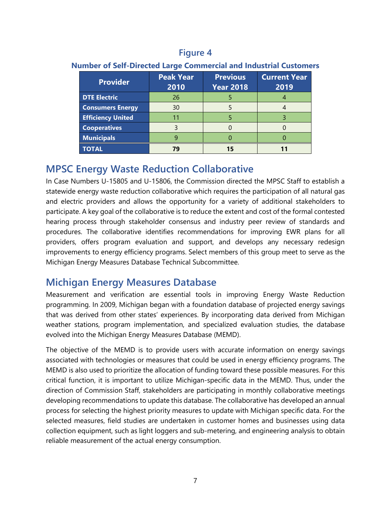#### **Figure 4**

| <b>Provider</b>          | <b>Peak Year</b><br>2010 | <b>Previous</b><br><b>Year 2018</b> | <b>Current Year</b><br>2019 |
|--------------------------|--------------------------|-------------------------------------|-----------------------------|
| <b>DTE Electric</b>      | 26                       |                                     |                             |
| <b>Consumers Energy</b>  | 30                       |                                     |                             |
| <b>Efficiency United</b> |                          |                                     |                             |
| <b>Cooperatives</b>      |                          |                                     |                             |
| <b>Municipals</b>        |                          |                                     |                             |
| <b>TOTAL</b>             |                          |                                     |                             |

#### **Number of Self-Directed Large Commercial and Industrial Customers**

#### <span id="page-10-0"></span>**MPSC Energy Waste Reduction Collaborative**

In Case Numbers U-15805 and U-15806, the Commission directed the MPSC Staff to establish a statewide energy waste reduction collaborative which requires the participation of all natural gas and electric providers and allows the opportunity for a variety of additional stakeholders to participate. A key goal of the collaborative is to reduce the extent and cost of the formal contested hearing process through stakeholder consensus and industry peer review of standards and procedures. The collaborative identifies recommendations for improving EWR plans for all providers, offers program evaluation and support, and develops any necessary redesign improvements to energy efficiency programs. Select members of this group meet to serve as the Michigan Energy Measures Database Technical Subcommittee.

## <span id="page-10-1"></span>**Michigan Energy Measures Database**

Measurement and verification are essential tools in improving Energy Waste Reduction programming. In 2009, Michigan began with a foundation database of projected energy savings that was derived from other states' experiences. By incorporating data derived from Michigan weather stations, program implementation, and specialized evaluation studies, the database evolved into the Michigan Energy Measures Database (MEMD).

The objective of the MEMD is to provide users with accurate information on energy savings associated with technologies or measures that could be used in energy efficiency programs. The MEMD is also used to prioritize the allocation of funding toward these possible measures. For this critical function, it is important to utilize Michigan-specific data in the MEMD. Thus, under the direction of Commission Staff, stakeholders are participating in monthly collaborative meetings developing recommendations to update this database. The collaborative has developed an annual process for selecting the highest priority measures to update with Michigan specific data. For the selected measures, field studies are undertaken in customer homes and businesses using data collection equipment, such as light loggers and sub-metering, and engineering analysis to obtain reliable measurement of the actual energy consumption.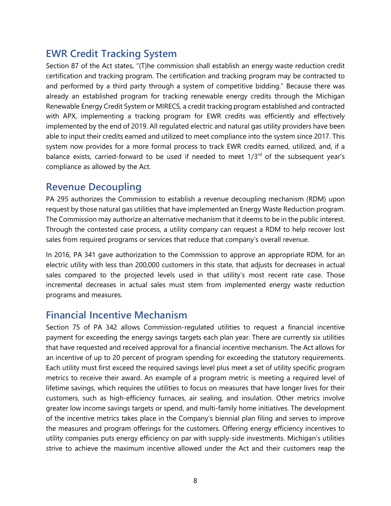## <span id="page-11-0"></span>**EWR Credit Tracking System**

Section 87 of the Act states, "(T)he commission shall establish an energy waste reduction credit certification and tracking program. The certification and tracking program may be contracted to and performed by a third party through a system of competitive bidding." Because there was already an established program for tracking renewable energy credits through the Michigan Renewable Energy Credit System or MIRECS, a credit tracking program established and contracted with APX, implementing a tracking program for EWR credits was efficiently and effectively implemented by the end of 2019. All regulated electric and natural gas utility providers have been able to input their credits earned and utilized to meet compliance into the system since 2017. This system now provides for a more formal process to track EWR credits earned, utilized, and, if a balance exists, carried-forward to be used if needed to meet  $1/3<sup>rd</sup>$  of the subsequent year's compliance as allowed by the Act.

#### <span id="page-11-1"></span>**Revenue Decoupling**

PA 295 authorizes the Commission to establish a revenue decoupling mechanism (RDM) upon request by those natural gas utilities that have implemented an Energy Waste Reduction program. The Commission may authorize an alternative mechanism that it deems to be in the public interest. Through the contested case process, a utility company can request a RDM to help recover lost sales from required programs or services that reduce that company's overall revenue.

In 2016, PA 341 gave authorization to the Commission to approve an appropriate RDM, for an electric utility with less than 200,000 customers in this state, that adjusts for decreases in actual sales compared to the projected levels used in that utility's most recent rate case. Those incremental decreases in actual sales must stem from implemented energy waste reduction programs and measures.

#### <span id="page-11-2"></span>**Financial Incentive Mechanism**

Section 75 of PA 342 allows Commission-regulated utilities to request a financial incentive payment for exceeding the energy savings targets each plan year. There are currently six utilities that have requested and received approval for a financial incentive mechanism. The Act allows for an incentive of up to 20 percent of program spending for exceeding the statutory requirements. Each utility must first exceed the required savings level plus meet a set of utility specific program metrics to receive their award. An example of a program metric is meeting a required level of lifetime savings, which requires the utilities to focus on measures that have longer lives for their customers, such as high-efficiency furnaces, air sealing, and insulation. Other metrics involve greater low income savings targets or spend, and multi-family home initiatives. The development of the incentive metrics takes place in the Company's biennial plan filing and serves to improve the measures and program offerings for the customers. Offering energy efficiency incentives to utility companies puts energy efficiency on par with supply-side investments. Michigan's utilities strive to achieve the maximum incentive allowed under the Act and their customers reap the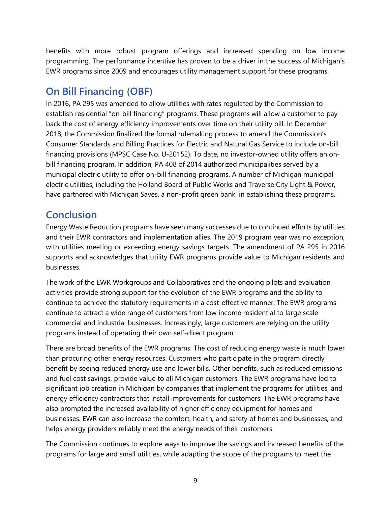benefits with more robust program offerings and increased spending on low income programming. The performance incentive has proven to be a driver in the success of Michigan's EWR programs since 2009 and encourages utility management support for these programs.

## <span id="page-12-0"></span>**On Bill Financing (OBF)**

In 2016, PA 295 was amended to allow utilities with rates regulated by the Commission to establish residential "on-bill financing" programs. These programs will allow a customer to pay back the cost of energy efficiency improvements over time on their utility bill. In December 2018, the Commission finalized the formal rulemaking process to amend the Commission's Consumer Standards and Billing Practices for Electric and Natural Gas Service to include on-bill financing provisions (MPSC Case No. U-20152). To date, no investor-owned utility offers an onbill financing program. In addition, PA 408 of 2014 authorized municipalities served by a municipal electric utility to offer on-bill financing programs. A number of Michigan municipal electric utilities, including the Holland Board of Public Works and Traverse City Light & Power, have partnered with Michigan Saves, a non-profit green bank, in establishing these programs.

## <span id="page-12-1"></span>**Conclusion**

Energy Waste Reduction programs have seen many successes due to continued efforts by utilities and their EWR contractors and implementation allies. The 2019 program year was no exception, with utilities meeting or exceeding energy savings targets. The amendment of PA 295 in 2016 supports and acknowledges that utility EWR programs provide value to Michigan residents and businesses.

The work of the EWR Workgroups and Collaboratives and the ongoing pilots and evaluation activities provide strong support for the evolution of the EWR programs and the ability to continue to achieve the statutory requirements in a cost-effective manner. The EWR programs continue to attract a wide range of customers from low income residential to large scale commercial and industrial businesses. Increasingly, large customers are relying on the utility programs instead of operating their own self-direct program.

There are broad benefits of the EWR programs. The cost of reducing energy waste is much lower than procuring other energy resources. Customers who participate in the program directly benefit by seeing reduced energy use and lower bills. Other benefits, such as reduced emissions and fuel cost savings, provide value to all Michigan customers. The EWR programs have led to significant job creation in Michigan by companies that implement the programs for utilities, and energy efficiency contractors that install improvements for customers. The EWR programs have also prompted the increased availability of higher efficiency equipment for homes and businesses. EWR can also increase the comfort, health, and safety of homes and businesses, and helps energy providers reliably meet the energy needs of their customers.

The Commission continues to explore ways to improve the savings and increased benefits of the programs for large and small utilities, while adapting the scope of the programs to meet the